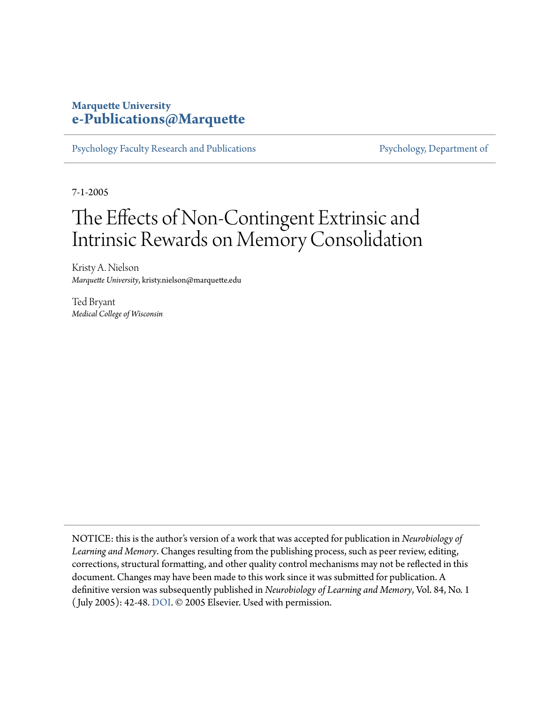## **Marquette University [e-Publications@Marquette](https://epublications.marquette.edu)**

[Psychology Faculty Research and Publications](https://epublications.marquette.edu/psych_fac) [Psychology, Department of](https://epublications.marquette.edu/psychology)

7-1-2005

## The Effects of Non-Contingent Extrinsic and Intrinsic Rewards on Memory Consolidation

Kristy A. Nielson *Marquette University*, kristy.nielson@marquette.edu

Ted Bryant *Medical College of Wisconsin*

NOTICE: this is the author's version of a work that was accepted for publication in *Neurobiology of Learning and Memory*. Changes resulting from the publishing process, such as peer review, editing, corrections, structural formatting, and other quality control mechanisms may not be reflected in this document. Changes may have been made to this work since it was submitted for publication. A definitive version was subsequently published in *Neurobiology of Learning and Memory*, Vol. 84, No. 1 ( July 2005): 42-48. [DOI](http://dx.doi.org/10.1016/j.nlm.2005.03.004). © 2005 Elsevier. Used with permission.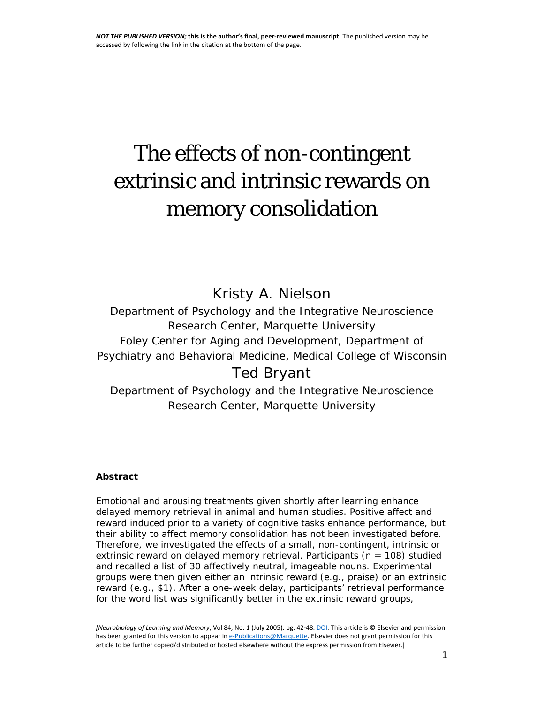# The effects of non-contingent extrinsic and intrinsic rewards on memory consolidation

Kristy A. Nielson

*Department of Psychology and the Integrative Neuroscience Research Center, Marquette University Foley Center for Aging and Development, Department of Psychiatry and Behavioral Medicine, Medical College of Wisconsin* Ted Bryant

*Department of Psychology and the Integrative Neuroscience Research Center, Marquette University*

#### **Abstract**

Emotional and arousing treatments given shortly after learning enhance delayed memory retrieval in animal and human studies. Positive affect and reward induced prior to a variety of cognitive tasks enhance performance, but their ability to affect memory consolidation has not been investigated before. Therefore, we investigated the effects of a small, non-contingent, intrinsic or extrinsic reward on delayed memory retrieval. Participants (*n* = 108) studied and recalled a list of 30 affectively neutral, imageable nouns. Experimental groups were then given either an intrinsic reward (e.g., praise) or an extrinsic reward (e.g., \$1). After a one-week delay, participants' retrieval performance for the word list was significantly better in the extrinsic reward groups,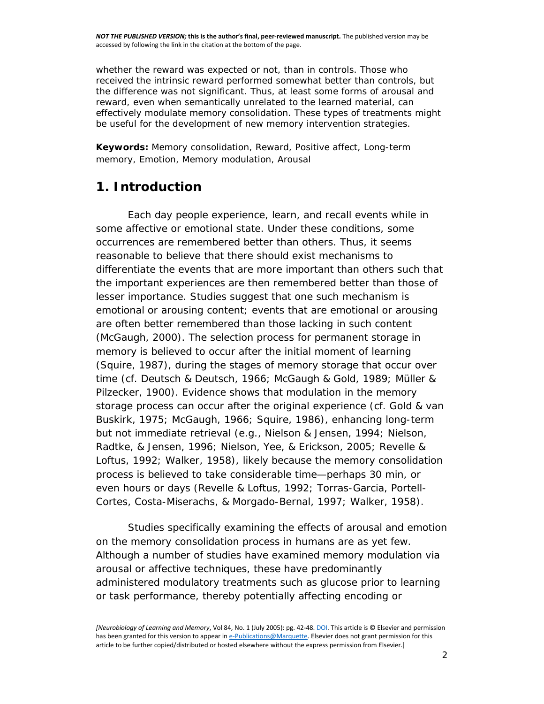whether the reward was expected or not, than in controls. Those who received the intrinsic reward performed somewhat better than controls, but the difference was not significant. Thus, at least some forms of arousal and reward, even when semantically unrelated to the learned material, can effectively modulate memory consolidation. These types of treatments might be useful for the development of new memory intervention strategies.

**Keywords:** Memory consolidation, Reward, Positive affect, Long-term memory, Emotion, Memory modulation, Arousal

## **1. Introduction**

Each day people experience, learn, and recall events while in some affective or emotional state. Under these conditions, some occurrences are remembered better than others. Thus, it seems reasonable to believe that there should exist mechanisms to differentiate the events that are more important than others such that the important experiences are then remembered better than those of lesser importance. Studies suggest that one such mechanism is emotional or arousing content; events that are emotional or arousing are often better remembered than those lacking in such content [\(McGaugh, 2000\)](http://www.sciencedirect.com/science/article/pii/S107474270500033X?via%3Dihub#bib21). The selection process for permanent storage in memory is believed to occur after the initial moment of learning [\(Squire, 1987\)](http://www.sciencedirect.com/science/article/pii/S107474270500033X?via%3Dihub#bib39), during the stages of memory storage that occur over time (cf. [Deutsch & Deutsch, 1966; McGaugh & Gold, 1989; Müller &](http://www.sciencedirect.com/science/article/pii/S107474270500033X?via%3Dihub#bib8)  [Pilzecker, 1900\)](http://www.sciencedirect.com/science/article/pii/S107474270500033X?via%3Dihub#bib8). Evidence shows that modulation in the memory storage process can occur after the original experience (cf. [Gold & van](http://www.sciencedirect.com/science/article/pii/S107474270500033X?via%3Dihub#bib12)  [Buskirk, 1975; McGaugh, 1966; Squire, 1986\)](http://www.sciencedirect.com/science/article/pii/S107474270500033X?via%3Dihub#bib12), enhancing long-term but not immediate retrieval (e.g., [Nielson & Jensen, 1994; Nielson,](http://www.sciencedirect.com/science/article/pii/S107474270500033X?via%3Dihub#bib27)  [Radtke, & Jensen, 1996; Nielson, Yee, & Erickson, 2005; Revelle &](http://www.sciencedirect.com/science/article/pii/S107474270500033X?via%3Dihub#bib27)  [Loftus, 1992; Walker, 1958\)](http://www.sciencedirect.com/science/article/pii/S107474270500033X?via%3Dihub#bib27), likely because the memory consolidation process is believed to take considerable time—perhaps 30 min, or even hours or days [\(Revelle & Loftus, 1992; Torras-Garcia, Portell-](http://www.sciencedirect.com/science/article/pii/S107474270500033X?via%3Dihub#bib36)[Cortes, Costa-Miserachs, & Morgado-Bernal, 1997; Walker, 1958\)](http://www.sciencedirect.com/science/article/pii/S107474270500033X?via%3Dihub#bib36).

Studies specifically examining the effects of arousal and emotion on the memory consolidation process in humans are as yet few. Although a number of studies have examined memory modulation via arousal or affective techniques, these have predominantly administered modulatory treatments such as glucose prior to learning or task performance, thereby potentially affecting encoding or

*<sup>[</sup>Neurobiology of Learning and Memory*, Vol 84, No. 1 (July 2005): pg. 42-48[. DOI.](http://dx.doi.org/10.1016/j.nlm.2005.03.004) This article is © Elsevier and permission has been granted for this version to appear i[n e-Publications@Marquette.](http://epublications.marquette.edu/) Elsevier does not grant permission for this article to be further copied/distributed or hosted elsewhere without the express permission from Elsevier.]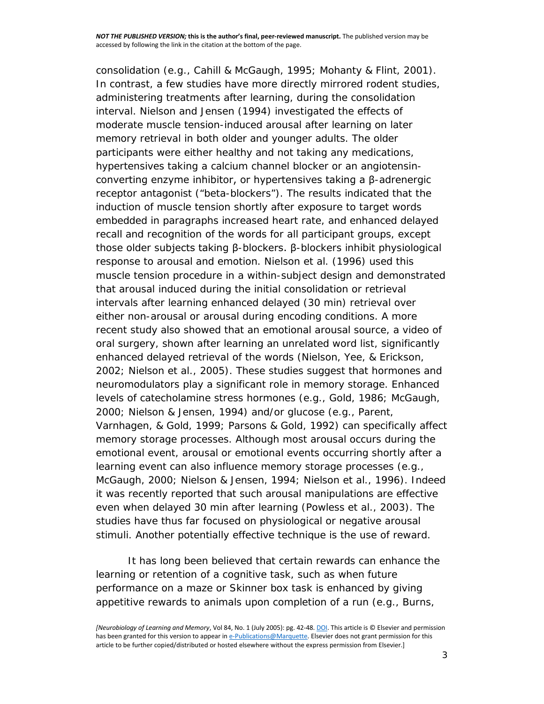consolidation (e.g., [Cahill & McGaugh, 1995; Mohanty & Flint, 2001\)](http://www.sciencedirect.com/science/article/pii/S107474270500033X?via%3Dihub#bib6). In contrast, a few studies have more directly mirrored rodent studies, administering treatments after learning, during the consolidation interval. [Nielson and Jensen \(1994\)](http://www.sciencedirect.com/science/article/pii/S107474270500033X?via%3Dihub#bib27) investigated the effects of moderate muscle tension-induced arousal after learning on later memory retrieval in both older and younger adults. The older participants were either healthy and not taking any medications, hypertensives taking a calcium channel blocker or an angiotensinconverting enzyme inhibitor, or hypertensives taking a β-adrenergic receptor antagonist ("beta-blockers"). The results indicated that the induction of muscle tension shortly after exposure to target words embedded in paragraphs increased heart rate, and enhanced delayed recall and recognition of the words for all participant groups, except those older subjects taking β-blockers. β-blockers inhibit physiological response to arousal and emotion. [Nielson et al. \(1996\)](http://www.sciencedirect.com/science/article/pii/S107474270500033X?via%3Dihub#bib28) used this muscle tension procedure in a within-subject design and demonstrated that arousal induced during the initial consolidation or retrieval intervals after learning enhanced delayed (30 min) retrieval over either non-arousal or arousal during encoding conditions. A more recent study also showed that an emotional arousal source, a video of oral surgery, shown after learning an unrelated word list, significantly enhanced delayed retrieval of the words [\(Nielson, Yee, & Erickson,](http://www.sciencedirect.com/science/article/pii/S107474270500033X?via%3Dihub#bib29)  [2002; Nielson et al., 2005\)](http://www.sciencedirect.com/science/article/pii/S107474270500033X?via%3Dihub#bib29). These studies suggest that hormones and neuromodulators play a significant role in memory storage. Enhanced levels of catecholamine stress hormones (e.g., [Gold, 1986; McGaugh,](http://www.sciencedirect.com/science/article/pii/S107474270500033X?via%3Dihub#bib11)  [2000; Nielson & Jensen, 1994\)](http://www.sciencedirect.com/science/article/pii/S107474270500033X?via%3Dihub#bib11) and/or glucose (e.g., [Parent,](http://www.sciencedirect.com/science/article/pii/S107474270500033X?via%3Dihub#bib32)  [Varnhagen, & Gold, 1999; Parsons & Gold, 1992\)](http://www.sciencedirect.com/science/article/pii/S107474270500033X?via%3Dihub#bib32) can specifically affect memory storage processes. Although most arousal occurs during the emotional event, arousal or emotional events occurring shortly after a learning event can also influence memory storage processes (e.g., [McGaugh, 2000; Nielson & Jensen, 1994; Nielson et al., 1996\)](http://www.sciencedirect.com/science/article/pii/S107474270500033X?via%3Dihub#bib21). Indeed it was recently reported that such arousal manipulations are effective even when delayed 30 min after learning [\(Powless et al., 2003\)](http://www.sciencedirect.com/science/article/pii/S107474270500033X?via%3Dihub#bib35). The studies have thus far focused on physiological or negative arousal stimuli. Another potentially effective technique is the use of reward.

It has long been believed that certain rewards can enhance the learning or retention of a cognitive task, such as when future performance on a maze or Skinner box task is enhanced by giving appetitive rewards to animals upon completion of a run (e.g., [Burns,](http://www.sciencedirect.com/science/article/pii/S107474270500033X?via%3Dihub#bib5) 

*<sup>[</sup>Neurobiology of Learning and Memory*, Vol 84, No. 1 (July 2005): pg. 42-48[. DOI.](http://dx.doi.org/10.1016/j.nlm.2005.03.004) This article is © Elsevier and permission has been granted for this version to appear i[n e-Publications@Marquette.](http://epublications.marquette.edu/) Elsevier does not grant permission for this article to be further copied/distributed or hosted elsewhere without the express permission from Elsevier.]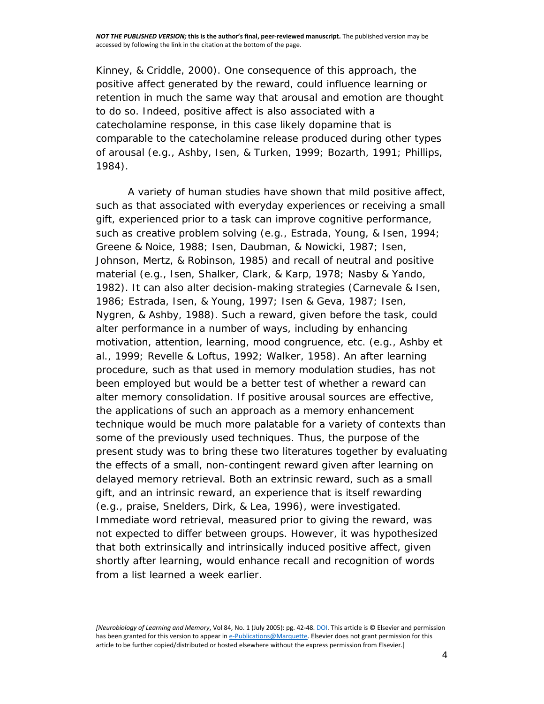[Kinney, & Criddle, 2000\)](http://www.sciencedirect.com/science/article/pii/S107474270500033X?via%3Dihub#bib5). One consequence of this approach, the positive affect generated by the reward, could influence learning or retention in much the same way that arousal and emotion are thought to do so. Indeed, positive affect is also associated with a catecholamine response, in this case likely dopamine that is comparable to the catecholamine release produced during other types of arousal (e.g., [Ashby, Isen, & Turken, 1999; Bozarth, 1991; Phillips,](http://www.sciencedirect.com/science/article/pii/S107474270500033X?via%3Dihub#bib2)  [1984\)](http://www.sciencedirect.com/science/article/pii/S107474270500033X?via%3Dihub#bib2).

A variety of human studies have shown that mild positive affect, such as that associated with everyday experiences or receiving a small gift, experienced prior to a task can improve cognitive performance, such as creative problem solving (e.g., [Estrada, Young, & Isen, 1994;](http://www.sciencedirect.com/science/article/pii/S107474270500033X?via%3Dihub#bib10)  [Greene & Noice, 1988; Isen, Daubman, & Nowicki, 1987; Isen,](http://www.sciencedirect.com/science/article/pii/S107474270500033X?via%3Dihub#bib10)  [Johnson, Mertz, & Robinson, 1985\)](http://www.sciencedirect.com/science/article/pii/S107474270500033X?via%3Dihub#bib10) and recall of neutral and positive material (e.g., [Isen, Shalker, Clark, & Karp, 1978; Nasby & Yando,](http://www.sciencedirect.com/science/article/pii/S107474270500033X?via%3Dihub#bib18)  [1982\)](http://www.sciencedirect.com/science/article/pii/S107474270500033X?via%3Dihub#bib18). It can also alter decision-making strategies [\(Carnevale & Isen,](http://www.sciencedirect.com/science/article/pii/S107474270500033X?via%3Dihub#bib7)  [1986; Estrada, Isen, & Young, 1997; Isen & Geva, 1987; Isen,](http://www.sciencedirect.com/science/article/pii/S107474270500033X?via%3Dihub#bib7)  [Nygren, & Ashby, 1988\)](http://www.sciencedirect.com/science/article/pii/S107474270500033X?via%3Dihub#bib7). Such a reward, given before the task, could alter performance in a number of ways, including by enhancing motivation, attention, learning, mood congruence, etc. (e.g., [Ashby et](http://www.sciencedirect.com/science/article/pii/S107474270500033X?via%3Dihub#bib2)  [al., 1999; Revelle & Loftus, 1992; Walker, 1958\)](http://www.sciencedirect.com/science/article/pii/S107474270500033X?via%3Dihub#bib2). An after learning procedure, such as that used in memory modulation studies, has not been employed but would be a better test of whether a reward can alter memory consolidation. If positive arousal sources are effective, the applications of such an approach as a memory enhancement technique would be much more palatable for a variety of contexts than some of the previously used techniques. Thus, the purpose of the present study was to bring these two literatures together by evaluating the effects of a small, non-contingent reward given after learning on delayed memory retrieval. Both an extrinsic reward, such as a small gift, and an intrinsic reward, an experience that is itself rewarding (e.g., praise, [Snelders, Dirk, & Lea, 1996\)](http://www.sciencedirect.com/science/article/pii/S107474270500033X?via%3Dihub#bib37), were investigated. Immediate word retrieval, measured prior to giving the reward, was not expected to differ between groups. However, it was hypothesized that both extrinsically and intrinsically induced positive affect, given shortly after learning, would enhance recall and recognition of words from a list learned a week earlier.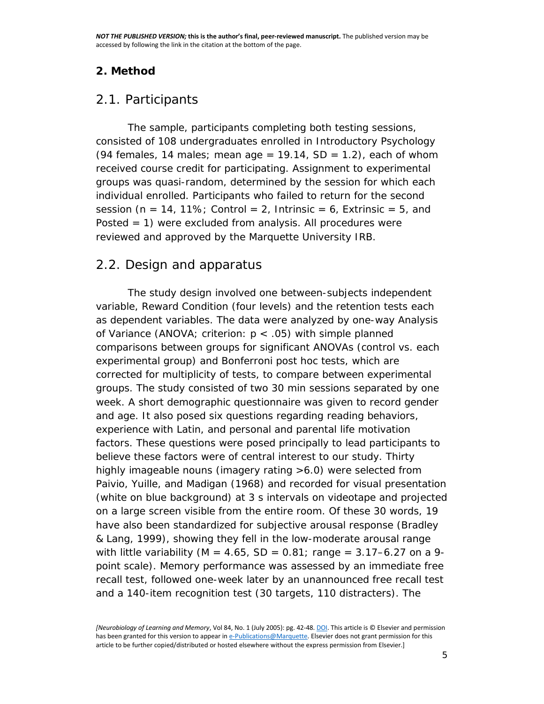## **2. Method**

## *2.1. Participants*

The sample, participants completing both testing sessions, consisted of 108 undergraduates enrolled in Introductory Psychology (94 females, 14 males; mean age  $= 19.14$ ,  $SD = 1.2$ ), each of whom received course credit for participating. Assignment to experimental groups was quasi-random, determined by the session for which each individual enrolled. Participants who failed to return for the second session ( $n = 14$ , 11%; Control = 2, Intrinsic = 6, Extrinsic = 5, and Posted  $= 1$ ) were excluded from analysis. All procedures were reviewed and approved by the Marquette University IRB.

## *2.2. Design and apparatus*

The study design involved one between-subjects independent variable, Reward Condition (four levels) and the retention tests each as dependent variables. The data were analyzed by one-way Analysis of Variance (ANOVA; criterion: *p* < .05) with simple planned comparisons between groups for significant ANOVAs (control vs. each experimental group) and Bonferroni post hoc tests, which are corrected for multiplicity of tests, to compare between experimental groups. The study consisted of two 30 min sessions separated by one week. A short demographic questionnaire was given to record gender and age. It also posed six questions regarding reading behaviors, experience with Latin, and personal and parental life motivation factors. These questions were posed principally to lead participants to believe these factors were of central interest to our study. Thirty highly imageable nouns (imagery rating >6.0) were selected from [Paivio, Yuille, and Madigan \(1968\)](http://www.sciencedirect.com/science/article/pii/S107474270500033X?via%3Dihub#bib31) and recorded for visual presentation (white on blue background) at 3 s intervals on videotape and projected on a large screen visible from the entire room. Of these 30 words, 19 have also been standardized for subjective arousal response [\(Bradley](http://www.sciencedirect.com/science/article/pii/S107474270500033X?via%3Dihub#bib4)  [& Lang, 1999\)](http://www.sciencedirect.com/science/article/pii/S107474270500033X?via%3Dihub#bib4), showing they fell in the low-moderate arousal range with little variability ( $M = 4.65$ ,  $SD = 0.81$ ; range = 3.17–6.27 on a 9point scale). Memory performance was assessed by an immediate free recall test, followed one-week later by an unannounced free recall test and a 140-item recognition test (30 targets, 110 distracters). The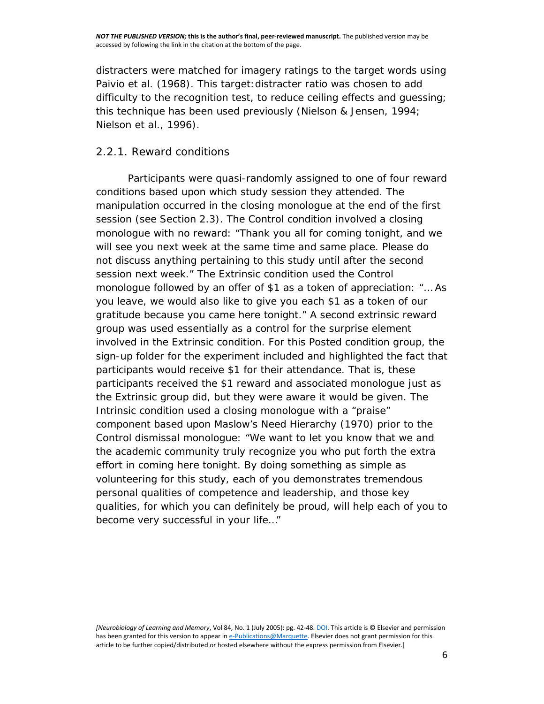distracters were matched for imagery ratings to the target words using [Paivio et al. \(1968\).](http://www.sciencedirect.com/science/article/pii/S107474270500033X?via%3Dihub#bib31) This target: distracter ratio was chosen to add difficulty to the recognition test, to reduce ceiling effects and guessing; this technique has been used previously [\(Nielson & Jensen, 1994;](http://www.sciencedirect.com/science/article/pii/S107474270500033X?via%3Dihub#bib27)  [Nielson et al., 1996\)](http://www.sciencedirect.com/science/article/pii/S107474270500033X?via%3Dihub#bib27).

### *2.2.1. Reward conditions*

Participants were quasi-randomly assigned to one of four reward conditions based upon which study session they attended. The manipulation occurred in the closing monologue at the end of the first session (see Section [2.3\)](http://www.sciencedirect.com/science/article/pii/S107474270500033X?via%3Dihub#sec1). The *Control* condition involved a closing monologue with no reward: "Thank you all for coming tonight, and we will see you next week at the same time and same place. Please do not discuss anything pertaining to this study until after the second session next week." The *Extrinsic* condition used the Control monologue followed by an offer of \$1 as a token of appreciation: "… As you leave, we would also like to give you each \$1 as a token of our gratitude because you came here tonight." A second extrinsic reward group was used essentially as a control for the surprise element involved in the Extrinsic condition. For this *Posted* condition group, the sign-up folder for the experiment included and highlighted the fact that participants would receive \$1 for their attendance. That is, these participants received the \$1 reward and associated monologue just as the Extrinsic group did, but they were aware it would be given. The *Intrinsic* condition used a closing monologue with a "praise" component based upon [Maslow's Need Hierarchy \(1970\)](http://www.sciencedirect.com/science/article/pii/S107474270500033X?via%3Dihub#bib19) prior to the Control dismissal monologue: "We want to let you know that we and the academic community truly recognize you who put forth the extra effort in coming here tonight. By doing something as simple as volunteering for this study, each of you demonstrates tremendous personal qualities of competence and leadership, and those key qualities, for which you can definitely be proud, will help each of you to become very successful in your life…"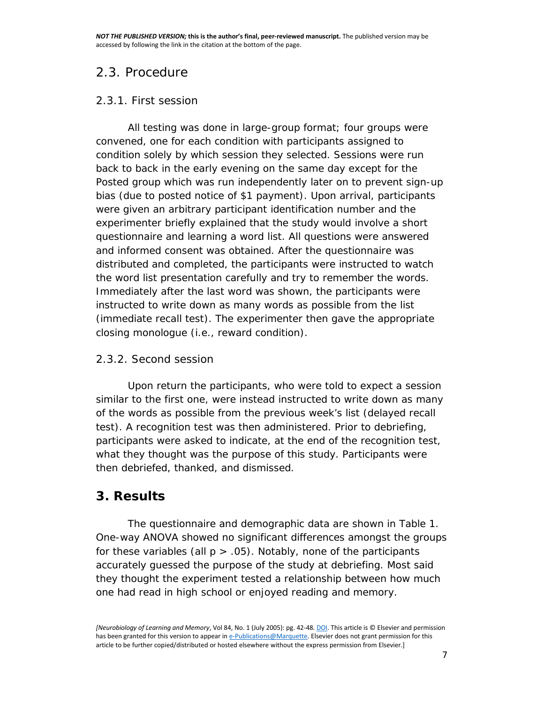## *2.3. Procedure*

## *2.3.1. First session*

All testing was done in large-group format; four groups were convened, one for each condition with participants assigned to condition solely by which session they selected. Sessions were run back to back in the early evening on the same day except for the Posted group which was run independently later on to prevent sign-up bias (due to posted notice of \$1 payment). Upon arrival, participants were given an arbitrary participant identification number and the experimenter briefly explained that the study would involve a short questionnaire and learning a word list. All questions were answered and informed consent was obtained. After the questionnaire was distributed and completed, the participants were instructed to watch the word list presentation carefully and try to remember the words. Immediately after the last word was shown, the participants were instructed to write down as many words as possible from the list (immediate recall test). The experimenter then gave the appropriate closing monologue (i.e., reward condition).

## *2.3.2. Second session*

Upon return the participants, who were told to expect a session similar to the first one, were instead instructed to write down as many of the words as possible from the previous week's list (delayed recall test). A recognition test was then administered. Prior to debriefing, participants were asked to indicate, at the end of the recognition test, what they thought was the purpose of this study. Participants were then debriefed, thanked, and dismissed.

## **3. Results**

The questionnaire and demographic data are shown in [Table 1.](http://www.sciencedirect.com/science/article/pii/S107474270500033X?via%3Dihub#tbl1) One-way ANOVA showed no significant differences amongst the groups for these variables (all  $p > .05$ ). Notably, none of the participants accurately guessed the purpose of the study at debriefing. Most said they thought the experiment tested a relationship between how much one had read in high school or enjoyed reading and memory.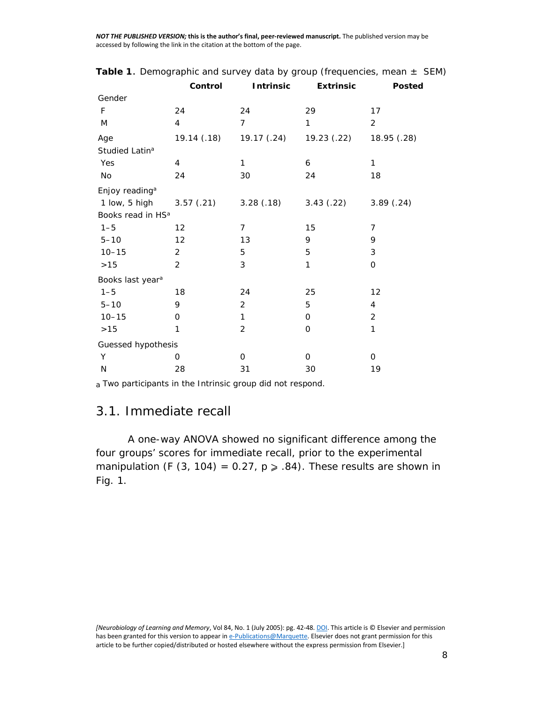|                               | Control           | <b>Intrinsic</b> | <b>Extrinsic</b> | <b>Posted</b>  |  |
|-------------------------------|-------------------|------------------|------------------|----------------|--|
| Gender                        |                   |                  |                  |                |  |
| F                             | 24                | 24               | 29               | 17             |  |
| M                             | $\overline{4}$    | $\overline{7}$   | 1                | 2              |  |
| Age                           | 19.14 (.18)       | 19.17 (.24)      | 19.23 (.22)      | 18.95 (.28)    |  |
| Studied Latin <sup>a</sup>    |                   |                  |                  |                |  |
| Yes                           | $\overline{4}$    | 1                | 6                | $\mathbf{1}$   |  |
| No                            | 24                | 30               | 24               | 18             |  |
| Enjoy reading <sup>a</sup>    |                   |                  |                  |                |  |
| 1 low, 5 high                 | 3.57(.21)         | 3.28(.18)        | 3.43(.22)        | 3.89(.24)      |  |
| Books read in HS <sup>a</sup> |                   |                  |                  |                |  |
| $1 - 5$                       | $12 \overline{ }$ | 7                | 15               | $\overline{7}$ |  |
| $5 - 10$                      | 12                | 13               | 9                | 9              |  |
| $10 - 15$                     | 2                 | 5                | 5                | 3              |  |
| $>15$                         | 2                 | 3                | 1                | $\mathbf 0$    |  |
| Books last year <sup>a</sup>  |                   |                  |                  |                |  |
| $1 - 5$                       | 18                | 24               | 25               | 12             |  |
| $5 - 10$                      | 9                 | 2                | 5                | $\overline{4}$ |  |
| $10 - 15$                     | 0                 | $\mathbf{1}$     | 0                | 2              |  |
| $>15$                         | 1                 | $\overline{2}$   | 0                | 1              |  |
| Guessed hypothesis            |                   |                  |                  |                |  |
| Y                             | 0                 | 0                | 0                | 0              |  |
| N                             | 28                | 31               | 30               | 19             |  |

|  |  | Table 1. Demographic and survey data by group (frequencies, mean $\pm$ SEM) |  |  |  |  |
|--|--|-----------------------------------------------------------------------------|--|--|--|--|
|--|--|-----------------------------------------------------------------------------|--|--|--|--|

a Two participants in the Intrinsic group did not respond.

## *3.1. Immediate recall*

A one-way ANOVA showed no significant difference among the four groups' scores for immediate recall, prior to the experimental manipulation (*F* (3, 104) = 0.27,  $p \ge 0.84$ ). These results are shown in [Fig. 1.](http://www.sciencedirect.com/science/article/pii/S107474270500033X?via%3Dihub#fig1)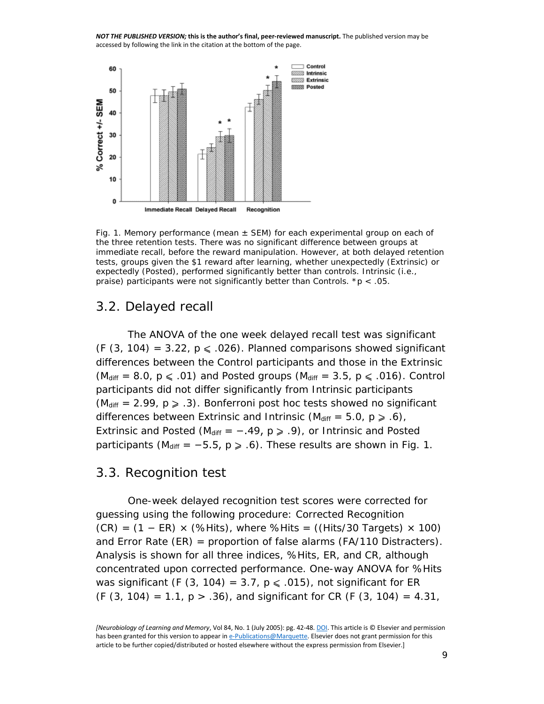

Fig. 1. Memory performance (mean  $\pm$  SEM) for each experimental group on each of the three retention tests. There was no significant difference between groups at immediate recall, before the reward manipulation. However, at both delayed retention tests, groups given the \$1 reward after learning, whether unexpectedly (Extrinsic) or expectedly (Posted), performed significantly better than controls. Intrinsic (i.e., praise) participants were not significantly better than Controls.  $* p < .05$ .

## *3.2. Delayed recall*

The ANOVA of the one week delayed recall test was significant  $(F(3, 104) = 3.22, p \le 0.026)$ . Planned comparisons showed significant differences between the Control participants and those in the Extrinsic  $(M_{\text{diff}} = 8.0, p \le .01)$  and Posted groups ( $M_{\text{diff}} = 3.5, p \le .016$ ). Control participants did not differ significantly from Intrinsic participants  $(M_{\text{diff}} = 2.99, p \ge .3)$ . Bonferroni post hoc tests showed no significant differences between Extrinsic and Intrinsic  $(M_{\text{diff}} = 5.0, p \ge .6)$ , Extrinsic and Posted ( $M_{\text{diff}}$  = -.49,  $p \ge .9$ ), or Intrinsic and Posted participants ( $M_{\text{diff}} = -5.5$ ,  $p \ge .6$ ). These results are shown in [Fig. 1.](http://www.sciencedirect.com/science/article/pii/S107474270500033X?via%3Dihub#fig1)

## *3.3. Recognition test*

One-week delayed recognition test scores were corrected for guessing using the following procedure: Corrected Recognition  $(CR) = (1 - ER) \times (%Hist)$ , where %Hits = ((Hits/30 Targets)  $\times$  100) and Error Rate  $(ER)$  = proportion of false alarms  $(FA/110$  Distracters). Analysis is shown for all three indices, %Hits, ER, and CR, although concentrated upon corrected performance. One-way ANOVA for %Hits was significant  $(F(3, 104) = 3.7, p \le .015)$ , not significant for ER (*F* (3, 104) = 1.1, *p* > .36), and significant for CR (*F* (3, 104) = 4.31,

*<sup>[</sup>Neurobiology of Learning and Memory*, Vol 84, No. 1 (July 2005): pg. 42-48[. DOI.](http://dx.doi.org/10.1016/j.nlm.2005.03.004) This article is © Elsevier and permission has been granted for this version to appear i[n e-Publications@Marquette.](http://epublications.marquette.edu/) Elsevier does not grant permission for this article to be further copied/distributed or hosted elsewhere without the express permission from Elsevier.]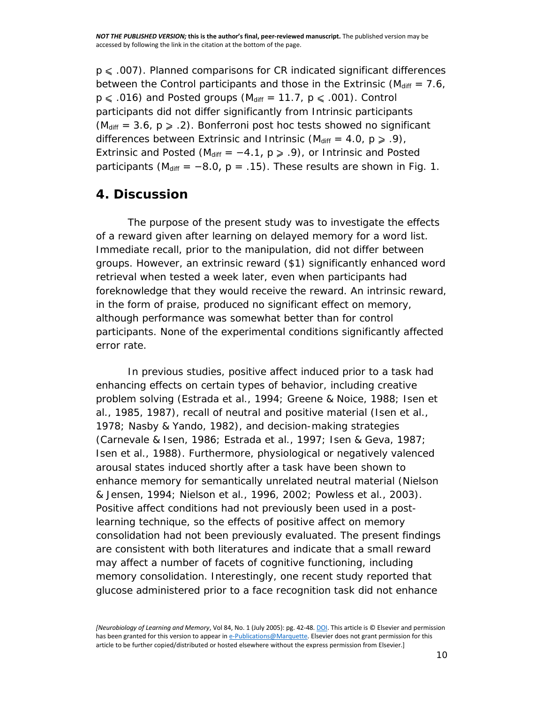$p \leq 0.007$ ). Planned comparisons for CR indicated significant differences between the Control participants and those in the Extrinsic ( $M_{\text{diff}} = 7.6$ )  $p \le 0.016$ ) and Posted groups ( $M_{\text{diff}} = 11.7$ ,  $p \le 0.001$ ). Control participants did not differ significantly from Intrinsic participants ( $M_{\text{diff}}$  = 3.6,  $p \ge 0.2$ ). Bonferroni post hoc tests showed no significant differences between Extrinsic and Intrinsic ( $M_{\text{diff}} = 4.0$ ,  $p \ge 0.9$ ), Extrinsic and Posted ( $M_{\text{diff}}$  = −4.1,  $p \ge 0$ .9), or Intrinsic and Posted participants ( $M_{\text{diff}} = -8.0$ ,  $p = .15$ ). These results are shown in [Fig. 1.](http://www.sciencedirect.com/science/article/pii/S107474270500033X?via%3Dihub#fig1)

## **4. Discussion**

The purpose of the present study was to investigate the effects of a reward given after learning on delayed memory for a word list. Immediate recall, prior to the manipulation, did not differ between groups. However, an extrinsic reward (\$1) significantly enhanced word retrieval when tested a week later, even when participants had foreknowledge that they would receive the reward. An intrinsic reward, in the form of praise, produced no significant effect on memory, although performance was somewhat better than for control participants. None of the experimental conditions significantly affected error rate.

In previous studies, positive affect induced prior to a task had enhancing effects on certain types of behavior, including creative problem solving [\(Estrada et al., 1994; Greene & Noice, 1988; Isen et](http://www.sciencedirect.com/science/article/pii/S107474270500033X?via%3Dihub#bib10)  [al., 1985, 1987\)](http://www.sciencedirect.com/science/article/pii/S107474270500033X?via%3Dihub#bib10), recall of neutral and positive material [\(Isen et al.,](http://www.sciencedirect.com/science/article/pii/S107474270500033X?via%3Dihub#bib18)  [1978; Nasby & Yando, 1982\)](http://www.sciencedirect.com/science/article/pii/S107474270500033X?via%3Dihub#bib18), and decision-making strategies [\(Carnevale & Isen, 1986; Estrada et al., 1997; Isen & Geva, 1987;](http://www.sciencedirect.com/science/article/pii/S107474270500033X?via%3Dihub#bib7)  [Isen et al., 1988\)](http://www.sciencedirect.com/science/article/pii/S107474270500033X?via%3Dihub#bib7). Furthermore, physiological or negatively valenced arousal states induced shortly after a task have been shown to enhance memory for semantically unrelated neutral material [\(Nielson](http://www.sciencedirect.com/science/article/pii/S107474270500033X?via%3Dihub#bib27)  [& Jensen, 1994; Nielson et al., 1996, 2002; Powless et al., 2003\)](http://www.sciencedirect.com/science/article/pii/S107474270500033X?via%3Dihub#bib27). Positive affect conditions had not previously been used in a postlearning technique, so the effects of positive affect on memory consolidation had not been previously evaluated. The present findings are consistent with both literatures and indicate that a small reward may affect a number of facets of cognitive functioning, including memory consolidation. Interestingly, one recent study reported that glucose administered prior to a face recognition task did not enhance

*<sup>[</sup>Neurobiology of Learning and Memory*, Vol 84, No. 1 (July 2005): pg. 42-48[. DOI.](http://dx.doi.org/10.1016/j.nlm.2005.03.004) This article is © Elsevier and permission has been granted for this version to appear i[n e-Publications@Marquette.](http://epublications.marquette.edu/) Elsevier does not grant permission for this article to be further copied/distributed or hosted elsewhere without the express permission from Elsevier.]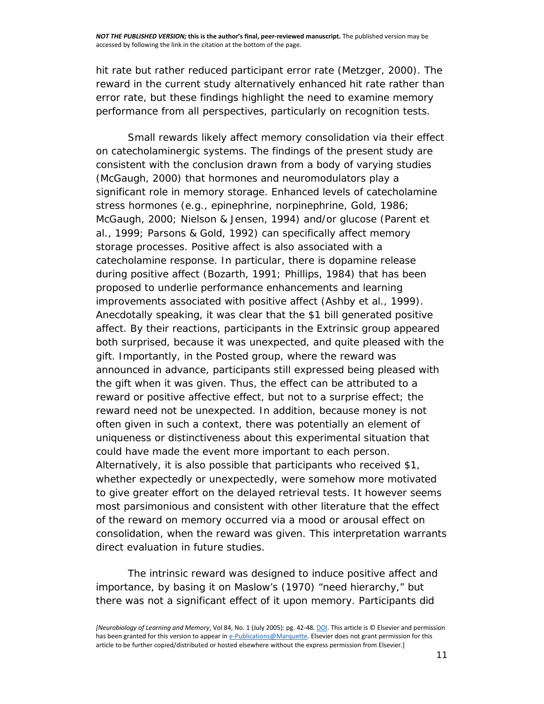hit rate but rather reduced participant error rate [\(Metzger, 2000\)](http://www.sciencedirect.com/science/article/pii/S107474270500033X?via%3Dihub#bib23). The reward in the current study alternatively enhanced hit rate rather than error rate, but these findings highlight the need to examine memory performance from all perspectives, particularly on recognition tests.

Small rewards likely affect memory consolidation via their effect on catecholaminergic systems. The findings of the present study are consistent with the conclusion drawn from a body of varying studies [\(McGaugh, 2000\)](http://www.sciencedirect.com/science/article/pii/S107474270500033X?via%3Dihub#bib21) that hormones and neuromodulators play a significant role in memory storage. Enhanced levels of catecholamine stress hormones (e.g., epinephrine, norpinephrine, [Gold, 1986;](http://www.sciencedirect.com/science/article/pii/S107474270500033X?via%3Dihub#bib11)  [McGaugh, 2000; Nielson & Jensen, 1994\)](http://www.sciencedirect.com/science/article/pii/S107474270500033X?via%3Dihub#bib11) and/or glucose [\(Parent et](http://www.sciencedirect.com/science/article/pii/S107474270500033X?via%3Dihub#bib32)  [al., 1999; Parsons & Gold, 1992\)](http://www.sciencedirect.com/science/article/pii/S107474270500033X?via%3Dihub#bib32) can specifically affect memory storage processes. Positive affect is also associated with a catecholamine response. In particular, there is dopamine release during positive affect [\(Bozarth, 1991; Phillips, 1984\)](http://www.sciencedirect.com/science/article/pii/S107474270500033X?via%3Dihub#bib3) that has been proposed to underlie performance enhancements and learning improvements associated with positive affect [\(Ashby et al., 1999\)](http://www.sciencedirect.com/science/article/pii/S107474270500033X?via%3Dihub#bib2). Anecdotally speaking, it was clear that the \$1 bill generated positive affect. By their reactions, participants in the Extrinsic group appeared both surprised, because it was unexpected, and quite pleased with the gift. Importantly, in the Posted group, where the reward was announced in advance, participants still expressed being pleased with the gift when it was given. Thus, the effect can be attributed to a reward or positive affective effect, but not to a surprise effect; the reward need not be unexpected. In addition, because money is not often given in such a context, there was potentially an element of uniqueness or distinctiveness about this experimental situation that could have made the event more important to each person. Alternatively, it is also possible that participants who received \$1, whether expectedly or unexpectedly, were somehow more motivated to give greater effort on the delayed retrieval tests. It however seems most parsimonious and consistent with other literature that the effect of the reward on memory occurred via a mood or arousal effect on consolidation, when the reward was given. This interpretation warrants direct evaluation in future studies.

The intrinsic reward was designed to induce positive affect and importance, by basing it on [Maslow's \(1970\)](http://www.sciencedirect.com/science/article/pii/S107474270500033X?via%3Dihub#bib19) "need hierarchy," but there was not a significant effect of it upon memory. Participants did

*<sup>[</sup>Neurobiology of Learning and Memory*, Vol 84, No. 1 (July 2005): pg. 42-48[. DOI.](http://dx.doi.org/10.1016/j.nlm.2005.03.004) This article is © Elsevier and permission has been granted for this version to appear i[n e-Publications@Marquette.](http://epublications.marquette.edu/) Elsevier does not grant permission for this article to be further copied/distributed or hosted elsewhere without the express permission from Elsevier.]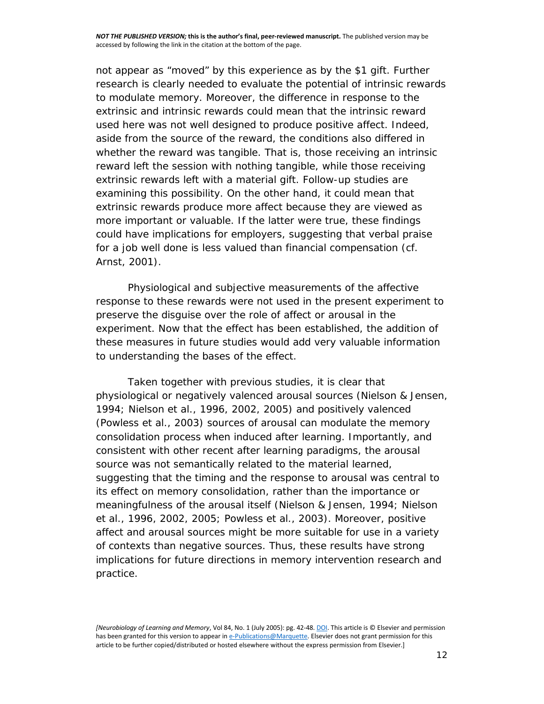not appear as "moved" by this experience as by the \$1 gift. Further research is clearly needed to evaluate the potential of intrinsic rewards to modulate memory. Moreover, the difference in response to the extrinsic and intrinsic rewards could mean that the intrinsic reward used here was not well designed to produce positive affect. Indeed, aside from the source of the reward, the conditions also differed in whether the reward was tangible. That is, those receiving an intrinsic reward left the session with nothing tangible, while those receiving extrinsic rewards left with a material gift. Follow-up studies are examining this possibility. On the other hand, it could mean that extrinsic rewards produce more affect because they are viewed as more important or valuable. If the latter were true, these findings could have implications for employers, suggesting that verbal praise for a job well done is less valued than financial compensation (cf. [Arnst, 2001\)](http://www.sciencedirect.com/science/article/pii/S107474270500033X?via%3Dihub#bib1).

Physiological and subjective measurements of the affective response to these rewards were not used in the present experiment to preserve the disguise over the role of affect or arousal in the experiment. Now that the effect has been established, the addition of these measures in future studies would add very valuable information to understanding the bases of the effect.

Taken together with previous studies, it is clear that physiological or negatively valenced arousal sources [\(Nielson & Jensen,](http://www.sciencedirect.com/science/article/pii/S107474270500033X?via%3Dihub#bib27)  [1994; Nielson et al., 1996, 2002, 2005\)](http://www.sciencedirect.com/science/article/pii/S107474270500033X?via%3Dihub#bib27) and positively valenced [\(Powless et al., 2003\)](http://www.sciencedirect.com/science/article/pii/S107474270500033X?via%3Dihub#bib35) sources of arousal can modulate the memory consolidation process when induced after learning. Importantly, and consistent with other recent after learning paradigms, the arousal source was not semantically related to the material learned, suggesting that the timing and the response to arousal was central to its effect on memory consolidation, rather than the importance or meaningfulness of the arousal itself [\(Nielson & Jensen, 1994; Nielson](http://www.sciencedirect.com/science/article/pii/S107474270500033X?via%3Dihub#bib27)  [et al., 1996, 2002, 2005; Powless et al., 2003\)](http://www.sciencedirect.com/science/article/pii/S107474270500033X?via%3Dihub#bib27). Moreover, positive affect and arousal sources might be more suitable for use in a variety of contexts than negative sources. Thus, these results have strong implications for future directions in memory intervention research and practice.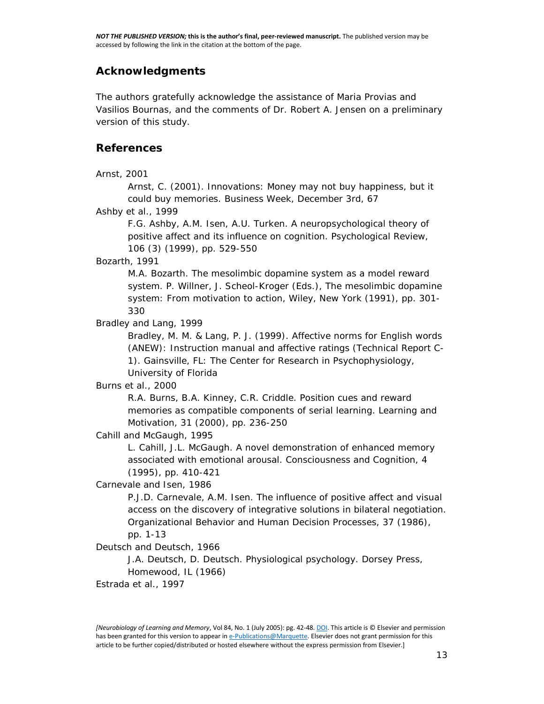## **Acknowledgments**

The authors gratefully acknowledge the assistance of Maria Provias and Vasilios Bournas, and the comments of Dr. Robert A. Jensen on a preliminary version of this study.

#### **References**

[Arnst, 2001](http://www.sciencedirect.com/science/article/pii/S107474270500033X?via%3Dihub)

Arnst, C. (2001). Innovations: Money may not buy happiness, but it could buy memories. *Business Week, December 3rd*, 67

[Ashby et al., 1999](http://www.sciencedirect.com/science/article/pii/S107474270500033X?via%3Dihub)

F.G. Ashby, A.M. Isen, A.U. Turken. A neuropsychological theory of positive affect and its influence on cognition. Psychological Review, 106 (3) (1999), pp. 529-550

[Bozarth, 1991](http://www.sciencedirect.com/science/article/pii/S107474270500033X?via%3Dihub)

M.A. Bozarth. The mesolimbic dopamine system as a model reward system. P. Willner, J. Scheol-Kroger (Eds.), The mesolimbic dopamine system: From motivation to action, Wiley, New York (1991), pp. 301- 330

[Bradley and Lang, 1999](http://www.sciencedirect.com/science/article/pii/S107474270500033X?via%3Dihub)

Bradley, M. M. & Lang, P. J. (1999). *Affective norms for English words (ANEW): Instruction manual and affective ratings* (Technical Report C-1). Gainsville, FL: The Center for Research in Psychophysiology, University of Florida

#### [Burns et al., 2000](http://www.sciencedirect.com/science/article/pii/S107474270500033X?via%3Dihub)

R.A. Burns, B.A. Kinney, C.R. Criddle. Position cues and reward memories as compatible components of serial learning. Learning and Motivation, 31 (2000), pp. 236-250

[Cahill and McGaugh, 1995](http://www.sciencedirect.com/science/article/pii/S107474270500033X?via%3Dihub)

L. Cahill, J.L. McGaugh. A novel demonstration of enhanced memory associated with emotional arousal. Consciousness and Cognition, 4 (1995), pp. 410-421

[Carnevale and Isen, 1986](http://www.sciencedirect.com/science/article/pii/S107474270500033X?via%3Dihub)

P.J.D. Carnevale, A.M. Isen. The influence of positive affect and visual access on the discovery of integrative solutions in bilateral negotiation. Organizational Behavior and Human Decision Processes, 37 (1986),

pp. 1-13

[Deutsch and Deutsch, 1966](http://www.sciencedirect.com/science/article/pii/S107474270500033X?via%3Dihub)

J.A. Deutsch, D. Deutsch. Physiological psychology. Dorsey Press, Homewood, IL (1966)

[Estrada et al., 1997](http://www.sciencedirect.com/science/article/pii/S107474270500033X?via%3Dihub)

*<sup>[</sup>Neurobiology of Learning and Memory*, Vol 84, No. 1 (July 2005): pg. 42-48[. DOI.](http://dx.doi.org/10.1016/j.nlm.2005.03.004) This article is © Elsevier and permission has been granted for this version to appear i[n e-Publications@Marquette.](http://epublications.marquette.edu/) Elsevier does not grant permission for this article to be further copied/distributed or hosted elsewhere without the express permission from Elsevier.]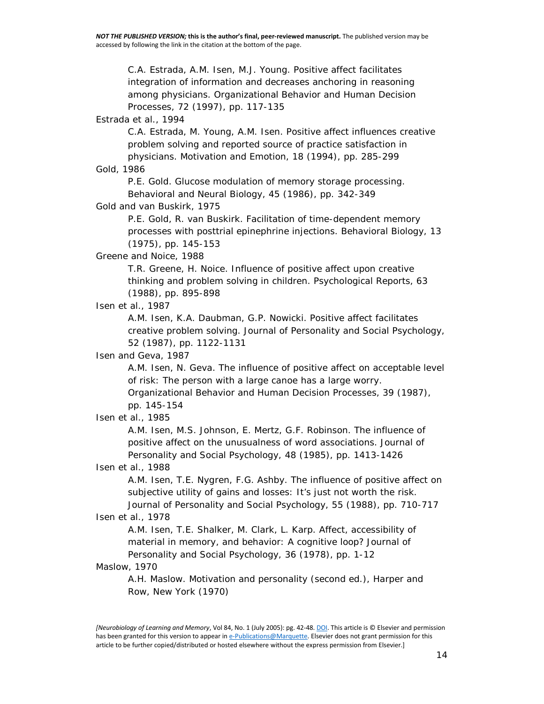C.A. Estrada, A.M. Isen, M.J. Young. Positive affect facilitates integration of information and decreases anchoring in reasoning among physicians. Organizational Behavior and Human Decision Processes, 72 (1997), pp. 117-135

[Estrada et al., 1994](http://www.sciencedirect.com/science/article/pii/S107474270500033X?via%3Dihub)

C.A. Estrada, M. Young, A.M. Isen. Positive affect influences creative problem solving and reported source of practice satisfaction in physicians. Motivation and Emotion, 18 (1994), pp. 285-299

[Gold, 1986](http://www.sciencedirect.com/science/article/pii/S107474270500033X?via%3Dihub)

P.E. Gold. Glucose modulation of memory storage processing. Behavioral and Neural Biology, 45 (1986), pp. 342-349

[Gold and van Buskirk, 1975](http://www.sciencedirect.com/science/article/pii/S107474270500033X?via%3Dihub)

P.E. Gold, R. van Buskirk. Facilitation of time-dependent memory processes with posttrial epinephrine injections. Behavioral Biology, 13 (1975), pp. 145-153

[Greene and Noice, 1988](http://www.sciencedirect.com/science/article/pii/S107474270500033X?via%3Dihub)

T.R. Greene, H. Noice. Influence of positive affect upon creative thinking and problem solving in children. Psychological Reports, 63 (1988), pp. 895-898

[Isen et al., 1987](http://www.sciencedirect.com/science/article/pii/S107474270500033X?via%3Dihub)

A.M. Isen, K.A. Daubman, G.P. Nowicki. Positive affect facilitates creative problem solving. Journal of Personality and Social Psychology, 52 (1987), pp. 1122-1131

[Isen and Geva, 1987](http://www.sciencedirect.com/science/article/pii/S107474270500033X?via%3Dihub)

A.M. Isen, N. Geva. The influence of positive affect on acceptable level of risk: The person with a large canoe has a large worry.

Organizational Behavior and Human Decision Processes, 39 (1987), pp. 145-154

#### [Isen et al., 1985](http://www.sciencedirect.com/science/article/pii/S107474270500033X?via%3Dihub)

A.M. Isen, M.S. Johnson, E. Mertz, G.F. Robinson. The influence of positive affect on the unusualness of word associations. Journal of Personality and Social Psychology, 48 (1985), pp. 1413-1426

[Isen et al., 1988](http://www.sciencedirect.com/science/article/pii/S107474270500033X?via%3Dihub)

A.M. Isen, T.E. Nygren, F.G. Ashby. The influence of positive affect on subjective utility of gains and losses: It's just not worth the risk. Journal of Personality and Social Psychology, 55 (1988), pp. 710-717

#### [Isen et al., 1978](http://www.sciencedirect.com/science/article/pii/S107474270500033X?via%3Dihub)

A.M. Isen, T.E. Shalker, M. Clark, L. Karp. Affect, accessibility of material in memory, and behavior: A cognitive loop? Journal of Personality and Social Psychology, 36 (1978), pp. 1-12

#### [Maslow, 1970](http://www.sciencedirect.com/science/article/pii/S107474270500033X?via%3Dihub)

A.H. Maslow. Motivation and personality (second ed.), Harper and Row, New York (1970)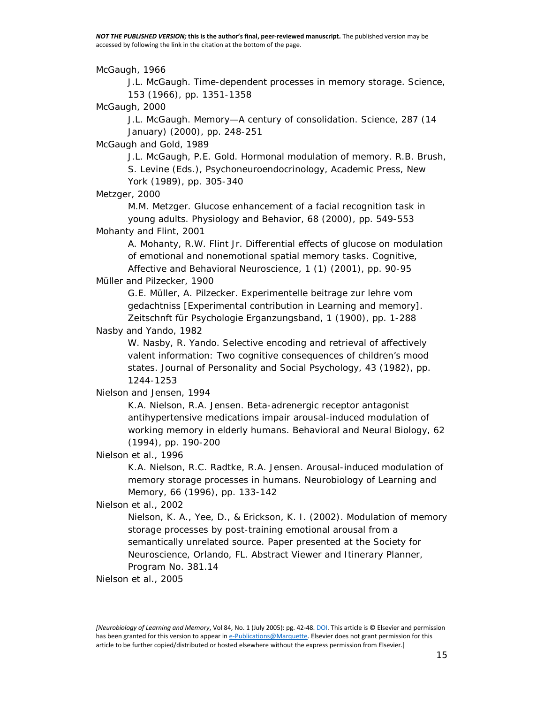[McGaugh, 1966](http://www.sciencedirect.com/science/article/pii/S107474270500033X?via%3Dihub)

J.L. McGaugh. Time-dependent processes in memory storage. Science, 153 (1966), pp. 1351-1358

[McGaugh, 2000](http://www.sciencedirect.com/science/article/pii/S107474270500033X?via%3Dihub)

J.L. McGaugh. Memory—A century of consolidation. Science, 287 (14 January) (2000), pp. 248-251

[McGaugh and Gold, 1989](http://www.sciencedirect.com/science/article/pii/S107474270500033X?via%3Dihub)

J.L. McGaugh, P.E. Gold. Hormonal modulation of memory. R.B. Brush, S. Levine (Eds.), Psychoneuroendocrinology, Academic Press, New York (1989), pp. 305-340

[Metzger, 2000](http://www.sciencedirect.com/science/article/pii/S107474270500033X?via%3Dihub)

M.M. Metzger. Glucose enhancement of a facial recognition task in young adults. Physiology and Behavior, 68 (2000), pp. 549-553 [Mohanty and Flint, 2001](http://www.sciencedirect.com/science/article/pii/S107474270500033X?via%3Dihub)

A. Mohanty, R.W. Flint Jr. Differential effects of glucose on modulation of emotional and nonemotional spatial memory tasks. Cognitive, Affective and Behavioral Neuroscience, 1 (1) (2001), pp. 90-95

#### [Müller and Pilzecker, 1900](http://www.sciencedirect.com/science/article/pii/S107474270500033X?via%3Dihub)

G.E. Müller, A. Pilzecker. Experimentelle beitrage zur lehre vom gedachtniss [Experimental contribution in Learning and memory]. Zeitschnft für Psychologie Erganzungsband, 1 (1900), pp. 1-288

[Nasby and Yando, 1982](http://www.sciencedirect.com/science/article/pii/S107474270500033X?via%3Dihub)

W. Nasby, R. Yando. Selective encoding and retrieval of affectively valent information: Two cognitive consequences of children's mood states. Journal of Personality and Social Psychology, 43 (1982), pp. 1244-1253

#### [Nielson and Jensen, 1994](http://www.sciencedirect.com/science/article/pii/S107474270500033X?via%3Dihub)

K.A. Nielson, R.A. Jensen. Beta-adrenergic receptor antagonist antihypertensive medications impair arousal-induced modulation of working memory in elderly humans. Behavioral and Neural Biology, 62 (1994), pp. 190-200

[Nielson et al., 1996](http://www.sciencedirect.com/science/article/pii/S107474270500033X?via%3Dihub)

K.A. Nielson, R.C. Radtke, R.A. Jensen. Arousal-induced modulation of memory storage processes in humans. Neurobiology of Learning and Memory, 66 (1996), pp. 133-142

#### [Nielson et al., 2002](http://www.sciencedirect.com/science/article/pii/S107474270500033X?via%3Dihub)

Nielson, K. A., Yee, D., & Erickson, K. I. (2002). *Modulation of memory storage processes by post-training emotional arousal from a semantically unrelated source*. Paper presented at the Society for Neuroscience, Orlando, FL. Abstract Viewer and Itinerary Planner, Program No. 381.14

[Nielson et al., 2005](http://www.sciencedirect.com/science/article/pii/S107474270500033X?via%3Dihub)

*<sup>[</sup>Neurobiology of Learning and Memory*, Vol 84, No. 1 (July 2005): pg. 42-48[. DOI.](http://dx.doi.org/10.1016/j.nlm.2005.03.004) This article is © Elsevier and permission has been granted for this version to appear i[n e-Publications@Marquette.](http://epublications.marquette.edu/) Elsevier does not grant permission for this article to be further copied/distributed or hosted elsewhere without the express permission from Elsevier.]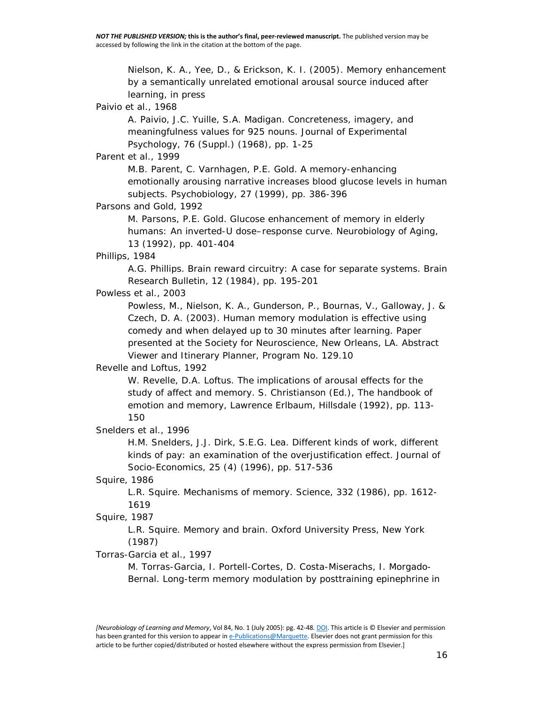Nielson, K. A., Yee, D., & Erickson, K. I. (2005). Memory enhancement by a semantically unrelated emotional arousal source induced after learning, in press

#### [Paivio et al., 1968](http://www.sciencedirect.com/science/article/pii/S107474270500033X?via%3Dihub)

A. Paivio, J.C. Yuille, S.A. Madigan. Concreteness, imagery, and meaningfulness values for 925 nouns. Journal of Experimental Psychology, 76 (Suppl.) (1968), pp. 1-25

#### [Parent et al., 1999](http://www.sciencedirect.com/science/article/pii/S107474270500033X?via%3Dihub)

M.B. Parent, C. Varnhagen, P.E. Gold. A memory-enhancing emotionally arousing narrative increases blood glucose levels in human subjects. Psychobiology, 27 (1999), pp. 386-396

#### [Parsons and Gold, 1992](http://www.sciencedirect.com/science/article/pii/S107474270500033X?via%3Dihub)

M. Parsons, P.E. Gold. Glucose enhancement of memory in elderly humans: An inverted-U dose–response curve. Neurobiology of Aging, 13 (1992), pp. 401-404

#### [Phillips, 1984](http://www.sciencedirect.com/science/article/pii/S107474270500033X?via%3Dihub)

A.G. Phillips. Brain reward circuitry: A case for separate systems. Brain Research Bulletin, 12 (1984), pp. 195-201

#### [Powless et al., 2003](http://www.sciencedirect.com/science/article/pii/S107474270500033X?via%3Dihub)

Powless, M., Nielson, K. A., Gunderson, P., Bournas, V., Galloway, J. & Czech, D. A. (2003). *Human memory modulation is effective using comedy and when delayed up to 30 minutes after learning*. Paper presented at the Society for Neuroscience, New Orleans, LA. Abstract Viewer and Itinerary Planner, Program No. 129.10

#### [Revelle and Loftus, 1992](http://www.sciencedirect.com/science/article/pii/S107474270500033X?via%3Dihub)

W. Revelle, D.A. Loftus. The implications of arousal effects for the study of affect and memory. S. Christianson (Ed.), The handbook of emotion and memory, Lawrence Erlbaum, Hillsdale (1992), pp. 113- 150

#### [Snelders et al., 1996](http://www.sciencedirect.com/science/article/pii/S107474270500033X?via%3Dihub)

H.M. Snelders, J.J. Dirk, S.E.G. Lea. Different kinds of work, different kinds of pay: an examination of the overjustification effect. Journal of Socio-Economics, 25 (4) (1996), pp. 517-536

#### [Squire, 1986](http://www.sciencedirect.com/science/article/pii/S107474270500033X?via%3Dihub)

L.R. Squire. Mechanisms of memory. Science, 332 (1986), pp. 1612- 1619

#### [Squire, 1987](http://www.sciencedirect.com/science/article/pii/S107474270500033X?via%3Dihub)

L.R. Squire. Memory and brain. Oxford University Press, New York (1987)

#### [Torras-Garcia et al., 1997](http://www.sciencedirect.com/science/article/pii/S107474270500033X?via%3Dihub)

M. Torras-Garcia, I. Portell-Cortes, D. Costa-Miserachs, I. Morgado-Bernal. Long-term memory modulation by posttraining epinephrine in

*<sup>[</sup>Neurobiology of Learning and Memory*, Vol 84, No. 1 (July 2005): pg. 42-48[. DOI.](http://dx.doi.org/10.1016/j.nlm.2005.03.004) This article is © Elsevier and permission has been granted for this version to appear i[n e-Publications@Marquette.](http://epublications.marquette.edu/) Elsevier does not grant permission for this article to be further copied/distributed or hosted elsewhere without the express permission from Elsevier.]